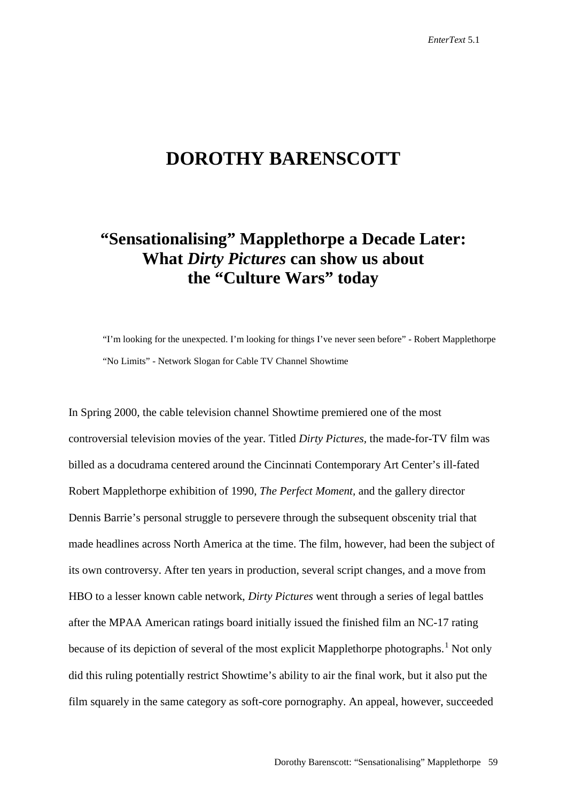# **DOROTHY BARENSCOTT**

# **"Sensationalising" Mapplethorpe a Decade Later: What** *Dirty Pictures* **can show us about the "Culture Wars" today**

"I'm looking for the unexpected. I'm looking for things I've never seen before" - Robert Mapplethorpe "No Limits" - Network Slogan for Cable TV Channel Showtime

In Spring 2000, the cable television channel Showtime premiered one of the most controversial television movies of the year. Titled *Dirty Pictures,* the made-for-TV film was billed as a docudrama centered around the Cincinnati Contemporary Art Center's ill-fated Robert Mapplethorpe exhibition of 1990, *The Perfect Moment,* and the gallery director Dennis Barrie's personal struggle to persevere through the subsequent obscenity trial that made headlines across North America at the time. The film, however, had been the subject of its own controversy. After ten years in production, several script changes, and a move from HBO to a lesser known cable network, *Dirty Pictures* went through a series of legal battles after the MPAA American ratings board initially issued the finished film an NC-17 rating because of its depiction of several of the most explicit Mapplethorpe photographs.<sup>[1](#page-21-0)</sup> Not only did this ruling potentially restrict Showtime's ability to air the final work, but it also put the film squarely in the same category as soft-core pornography. An appeal, however, succeeded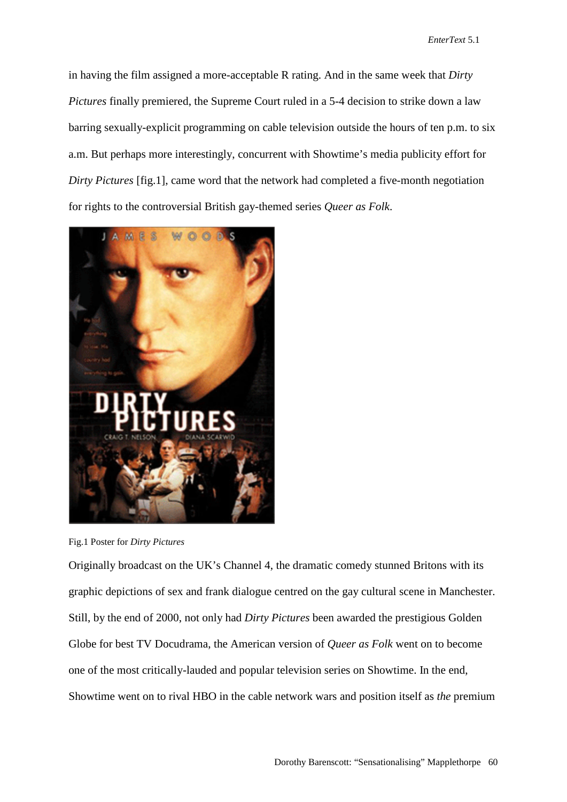in having the film assigned a more-acceptable R rating. And in the same week that *Dirty Pictures* finally premiered, the Supreme Court ruled in a 5-4 decision to strike down a law barring sexually-explicit programming on cable television outside the hours of ten p.m. to six a.m. But perhaps more interestingly, concurrent with Showtime's media publicity effort for *Dirty Pictures* [fig.1], came word that the network had completed a five-month negotiation for rights to the controversial British gay-themed series *Queer as Folk*.



Fig.1 Poster for *Dirty Pictures*

Originally broadcast on the UK's Channel 4, the dramatic comedy stunned Britons with its graphic depictions of sex and frank dialogue centred on the gay cultural scene in Manchester. Still, by the end of 2000, not only had *Dirty Pictures* been awarded the prestigious Golden Globe for best TV Docudrama, the American version of *Queer as Folk* went on to become one of the most critically-lauded and popular television series on Showtime. In the end, Showtime went on to rival HBO in the cable network wars and position itself as *the* premium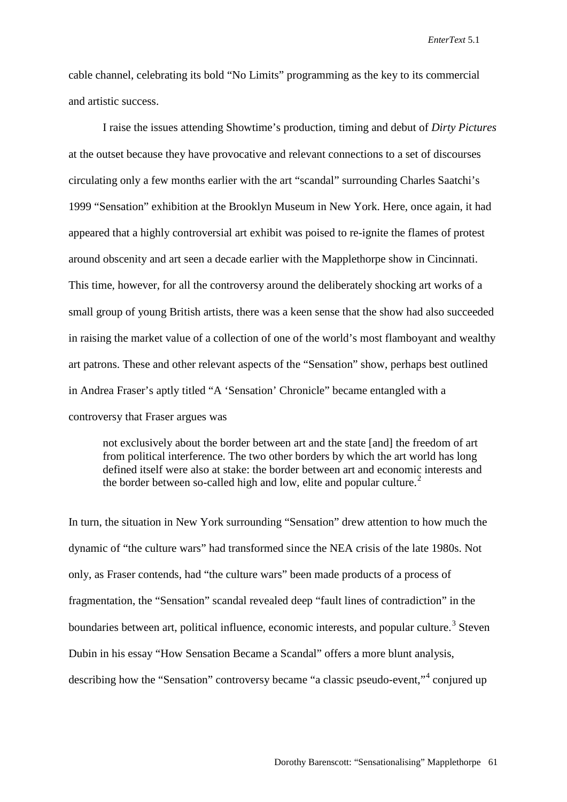cable channel, celebrating its bold "No Limits" programming as the key to its commercial and artistic success.

I raise the issues attending Showtime's production, timing and debut of *Dirty Pictures*  at the outset because they have provocative and relevant connections to a set of discourses circulating only a few months earlier with the art "scandal" surrounding Charles Saatchi's 1999 "Sensation" exhibition at the Brooklyn Museum in New York. Here, once again, it had appeared that a highly controversial art exhibit was poised to re-ignite the flames of protest around obscenity and art seen a decade earlier with the Mapplethorpe show in Cincinnati. This time, however, for all the controversy around the deliberately shocking art works of a small group of young British artists, there was a keen sense that the show had also succeeded in raising the market value of a collection of one of the world's most flamboyant and wealthy art patrons. These and other relevant aspects of the "Sensation" show, perhaps best outlined in Andrea Fraser's aptly titled "A 'Sensation' Chronicle" became entangled with a controversy that Fraser argues was

not exclusively about the border between art and the state [and] the freedom of art from political interference. The two other borders by which the art world has long defined itself were also at stake: the border between art and economic interests and the border between so-called high and low, elite and popular culture.<sup>[2](#page-21-1)</sup>

In turn, the situation in New York surrounding "Sensation" drew attention to how much the dynamic of "the culture wars" had transformed since the NEA crisis of the late 1980s. Not only, as Fraser contends, had "the culture wars" been made products of a process of fragmentation, the "Sensation" scandal revealed deep "fault lines of contradiction" in the boundaries between art, political influence, economic interests, and popular culture.<sup>[3](#page-21-2)</sup> Steven Dubin in his essay "How Sensation Became a Scandal" offers a more blunt analysis, describing how the "Sensation" controversy became "a classic pseudo-event,"[4](#page-21-3) conjured up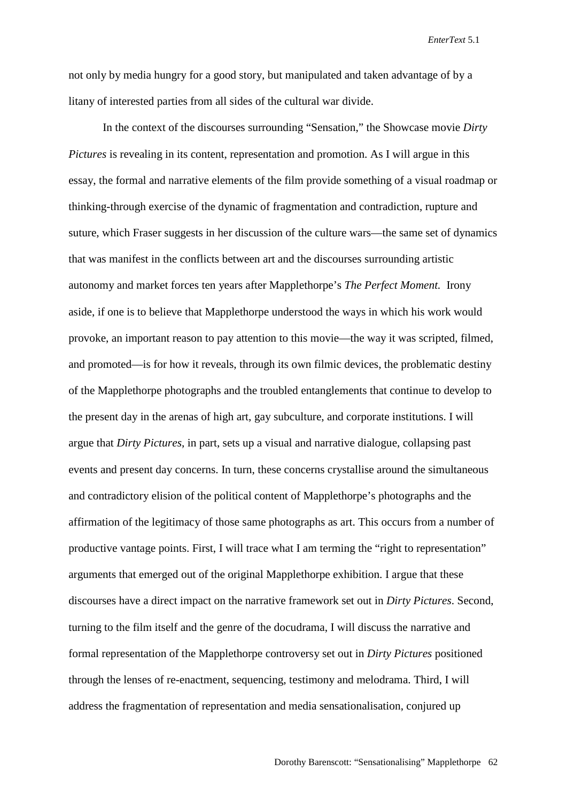not only by media hungry for a good story, but manipulated and taken advantage of by a litany of interested parties from all sides of the cultural war divide.

In the context of the discourses surrounding "Sensation," the Showcase movie *Dirty Pictures* is revealing in its content, representation and promotion. As I will argue in this essay, the formal and narrative elements of the film provide something of a visual roadmap or thinking-through exercise of the dynamic of fragmentation and contradiction, rupture and suture, which Fraser suggests in her discussion of the culture wars—the same set of dynamics that was manifest in the conflicts between art and the discourses surrounding artistic autonomy and market forces ten years after Mapplethorpe's *The Perfect Moment.* Irony aside, if one is to believe that Mapplethorpe understood the ways in which his work would provoke, an important reason to pay attention to this movie—the way it was scripted, filmed, and promoted—is for how it reveals, through its own filmic devices, the problematic destiny of the Mapplethorpe photographs and the troubled entanglements that continue to develop to the present day in the arenas of high art, gay subculture, and corporate institutions. I will argue that *Dirty Pictures*, in part, sets up a visual and narrative dialogue, collapsing past events and present day concerns. In turn, these concerns crystallise around the simultaneous and contradictory elision of the political content of Mapplethorpe's photographs and the affirmation of the legitimacy of those same photographs as art. This occurs from a number of productive vantage points. First, I will trace what I am terming the "right to representation" arguments that emerged out of the original Mapplethorpe exhibition. I argue that these discourses have a direct impact on the narrative framework set out in *Dirty Pictures*. Second, turning to the film itself and the genre of the docudrama, I will discuss the narrative and formal representation of the Mapplethorpe controversy set out in *Dirty Pictures* positioned through the lenses of re-enactment, sequencing, testimony and melodrama. Third, I will address the fragmentation of representation and media sensationalisation, conjured up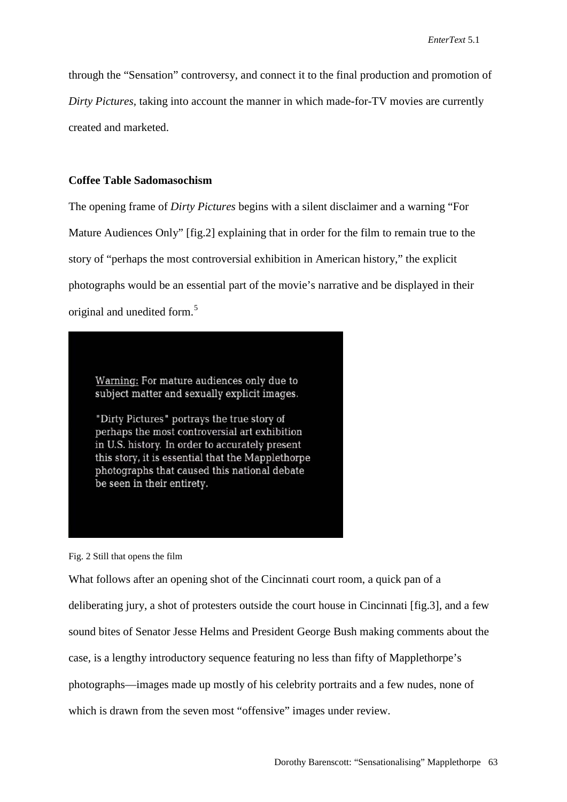through the "Sensation" controversy, and connect it to the final production and promotion of *Dirty Pictures,* taking into account the manner in which made-for-TV movies are currently created and marketed.

#### **Coffee Table Sadomasochism**

The opening frame of *Dirty Pictures* begins with a silent disclaimer and a warning "For Mature Audiences Only" [fig.2] explaining that in order for the film to remain true to the story of "perhaps the most controversial exhibition in American history," the explicit photographs would be an essential part of the movie's narrative and be displayed in their original and unedited form.<sup>[5](#page-21-4)</sup>

Warning: For mature audiences only due to subject matter and sexually explicit images.

"Dirty Pictures" portrays the true story of perhaps the most controversial art exhibition in U.S. history. In order to accurately present this story, it is essential that the Mapplethorpe photographs that caused this national debate be seen in their entirety.

Fig. 2 Still that opens the film

What follows after an opening shot of the Cincinnati court room, a quick pan of a deliberating jury, a shot of protesters outside the court house in Cincinnati [fig.3], and a few sound bites of Senator Jesse Helms and President George Bush making comments about the case, is a lengthy introductory sequence featuring no less than fifty of Mapplethorpe's photographs—images made up mostly of his celebrity portraits and a few nudes, none of which is drawn from the seven most "offensive" images under review.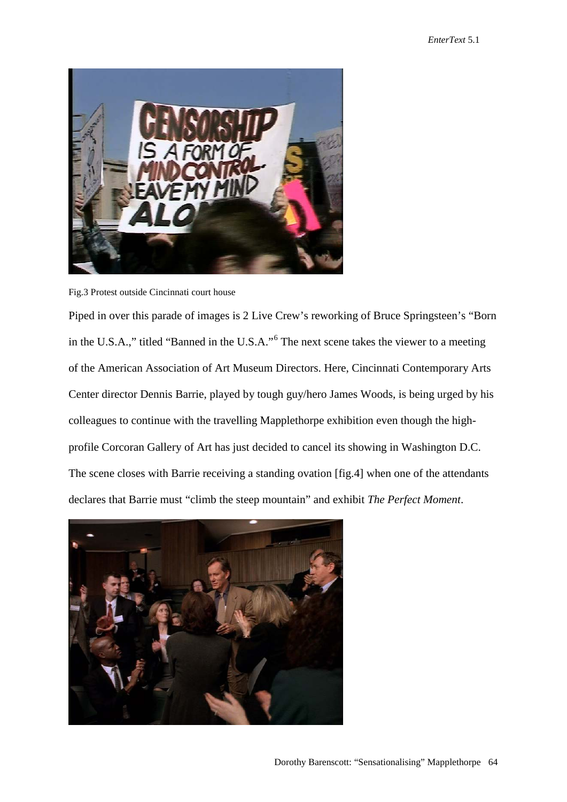



Piped in over this parade of images is 2 Live Crew's reworking of Bruce Springsteen's "Born in the U.S.A.," titled "Banned in the U.S.A."[6](#page-21-5) The next scene takes the viewer to a meeting of the American Association of Art Museum Directors. Here, Cincinnati Contemporary Arts Center director Dennis Barrie, played by tough guy/hero James Woods, is being urged by his colleagues to continue with the travelling Mapplethorpe exhibition even though the highprofile Corcoran Gallery of Art has just decided to cancel its showing in Washington D.C. The scene closes with Barrie receiving a standing ovation [fig.4] when one of the attendants declares that Barrie must "climb the steep mountain" and exhibit *The Perfect Moment*.

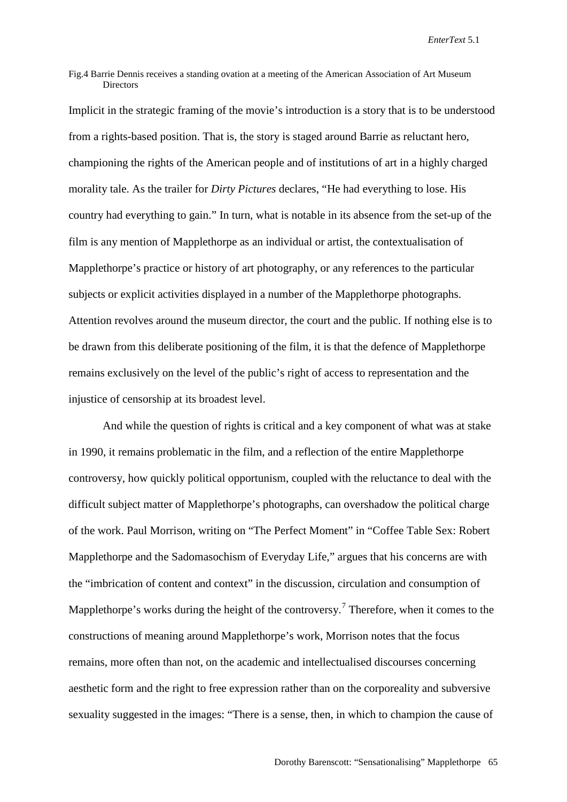Fig.4 Barrie Dennis receives a standing ovation at a meeting of the American Association of Art Museum **Directors** 

Implicit in the strategic framing of the movie's introduction is a story that is to be understood from a rights-based position. That is, the story is staged around Barrie as reluctant hero, championing the rights of the American people and of institutions of art in a highly charged morality tale. As the trailer for *Dirty Pictures* declares, "He had everything to lose. His country had everything to gain." In turn, what is notable in its absence from the set-up of the film is any mention of Mapplethorpe as an individual or artist, the contextualisation of Mapplethorpe's practice or history of art photography, or any references to the particular subjects or explicit activities displayed in a number of the Mapplethorpe photographs. Attention revolves around the museum director, the court and the public. If nothing else is to be drawn from this deliberate positioning of the film, it is that the defence of Mapplethorpe remains exclusively on the level of the public's right of access to representation and the injustice of censorship at its broadest level.

And while the question of rights is critical and a key component of what was at stake in 1990, it remains problematic in the film, and a reflection of the entire Mapplethorpe controversy, how quickly political opportunism, coupled with the reluctance to deal with the difficult subject matter of Mapplethorpe's photographs, can overshadow the political charge of the work. Paul Morrison, writing on "The Perfect Moment" in "Coffee Table Sex: Robert Mapplethorpe and the Sadomasochism of Everyday Life," argues that his concerns are with the "imbrication of content and context" in the discussion, circulation and consumption of Mapplethorpe's works during the height of the controversy.<sup>[7](#page-21-6)</sup> Therefore, when it comes to the constructions of meaning around Mapplethorpe's work, Morrison notes that the focus remains, more often than not, on the academic and intellectualised discourses concerning aesthetic form and the right to free expression rather than on the corporeality and subversive sexuality suggested in the images: "There is a sense, then, in which to champion the cause of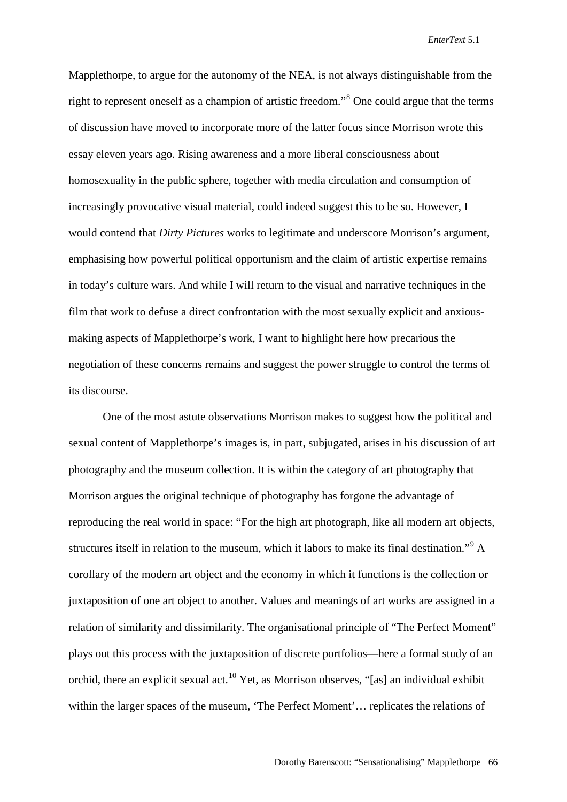Mapplethorpe, to argue for the autonomy of the NEA, is not always distinguishable from the right to represent oneself as a champion of artistic freedom."<sup>[8](#page-21-7)</sup> One could argue that the terms of discussion have moved to incorporate more of the latter focus since Morrison wrote this essay eleven years ago. Rising awareness and a more liberal consciousness about homosexuality in the public sphere, together with media circulation and consumption of increasingly provocative visual material, could indeed suggest this to be so. However, I would contend that *Dirty Pictures* works to legitimate and underscore Morrison's argument, emphasising how powerful political opportunism and the claim of artistic expertise remains in today's culture wars. And while I will return to the visual and narrative techniques in the film that work to defuse a direct confrontation with the most sexually explicit and anxiousmaking aspects of Mapplethorpe's work, I want to highlight here how precarious the negotiation of these concerns remains and suggest the power struggle to control the terms of its discourse.

One of the most astute observations Morrison makes to suggest how the political and sexual content of Mapplethorpe's images is, in part, subjugated, arises in his discussion of art photography and the museum collection. It is within the category of art photography that Morrison argues the original technique of photography has forgone the advantage of reproducing the real world in space: "For the high art photograph, like all modern art objects, structures itself in relation to the museum, which it labors to make its final destination."<sup>[9](#page-21-8)</sup> A corollary of the modern art object and the economy in which it functions is the collection or juxtaposition of one art object to another. Values and meanings of art works are assigned in a relation of similarity and dissimilarity. The organisational principle of "The Perfect Moment" plays out this process with the juxtaposition of discrete portfolios—here a formal study of an orchid, there an explicit sexual act.<sup>[10](#page-21-9)</sup> Yet, as Morrison observes, "[as] an individual exhibit within the larger spaces of the museum, 'The Perfect Moment'... replicates the relations of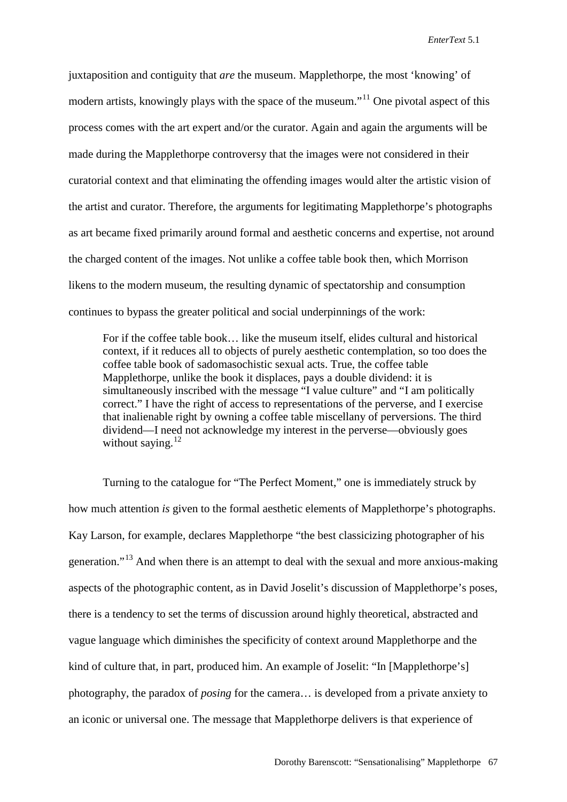juxtaposition and contiguity that *are* the museum. Mapplethorpe, the most 'knowing' of modern artists, knowingly plays with the space of the museum."<sup>[11](#page-21-10)</sup> One pivotal aspect of this process comes with the art expert and/or the curator. Again and again the arguments will be made during the Mapplethorpe controversy that the images were not considered in their curatorial context and that eliminating the offending images would alter the artistic vision of the artist and curator. Therefore, the arguments for legitimating Mapplethorpe's photographs as art became fixed primarily around formal and aesthetic concerns and expertise, not around the charged content of the images. Not unlike a coffee table book then, which Morrison likens to the modern museum, the resulting dynamic of spectatorship and consumption continues to bypass the greater political and social underpinnings of the work:

For if the coffee table book… like the museum itself, elides cultural and historical context, if it reduces all to objects of purely aesthetic contemplation, so too does the coffee table book of sadomasochistic sexual acts. True, the coffee table Mapplethorpe, unlike the book it displaces, pays a double dividend: it is simultaneously inscribed with the message "I value culture" and "I am politically correct." I have the right of access to representations of the perverse, and I exercise that inalienable right by owning a coffee table miscellany of perversions. The third dividend—I need not acknowledge my interest in the perverse—obviously goes without saying. $^{12}$  $^{12}$  $^{12}$ 

Turning to the catalogue for "The Perfect Moment," one is immediately struck by how much attention *is* given to the formal aesthetic elements of Mapplethorpe's photographs. Kay Larson, for example, declares Mapplethorpe "the best classicizing photographer of his generation."[13](#page-21-12) And when there is an attempt to deal with the sexual and more anxious-making aspects of the photographic content, as in David Joselit's discussion of Mapplethorpe's poses, there is a tendency to set the terms of discussion around highly theoretical, abstracted and vague language which diminishes the specificity of context around Mapplethorpe and the kind of culture that, in part, produced him. An example of Joselit: "In [Mapplethorpe's] photography, the paradox of *posing* for the camera… is developed from a private anxiety to an iconic or universal one. The message that Mapplethorpe delivers is that experience of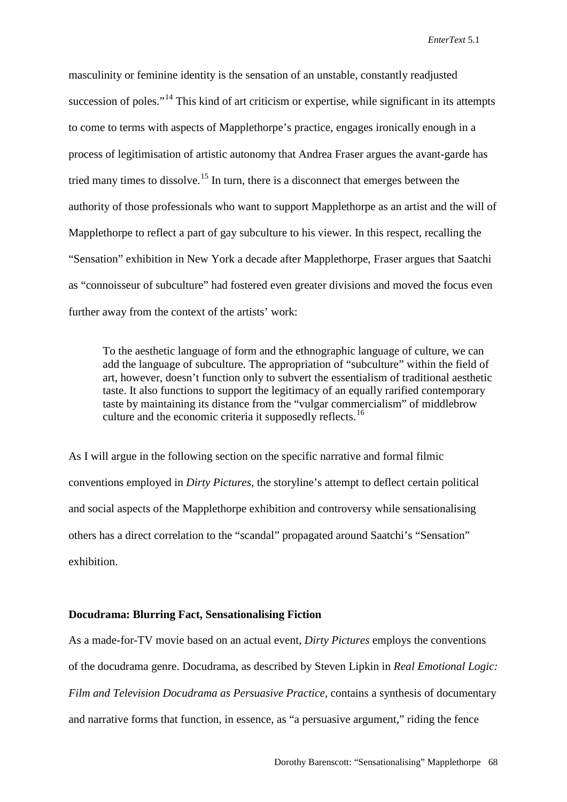masculinity or feminine identity is the sensation of an unstable, constantly readjusted succession of poles."<sup>[14](#page-21-13)</sup> This kind of art criticism or expertise, while significant in its attempts to come to terms with aspects of Mapplethorpe's practice, engages ironically enough in a process of legitimisation of artistic autonomy that Andrea Fraser argues the avant-garde has tried many times to dissolve.<sup>[15](#page-21-14)</sup> In turn, there is a disconnect that emerges between the authority of those professionals who want to support Mapplethorpe as an artist and the will of Mapplethorpe to reflect a part of gay subculture to his viewer. In this respect, recalling the "Sensation" exhibition in New York a decade after Mapplethorpe, Fraser argues that Saatchi as "connoisseur of subculture" had fostered even greater divisions and moved the focus even further away from the context of the artists' work:

To the aesthetic language of form and the ethnographic language of culture, we can add the language of subculture. The appropriation of "subculture" within the field of art, however, doesn't function only to subvert the essentialism of traditional aesthetic taste. It also functions to support the legitimacy of an equally rarified contemporary taste by maintaining its distance from the "vulgar commercialism" of middlebrow culture and the economic criteria it supposedly reflects.<sup>[16](#page-21-15)</sup>

As I will argue in the following section on the specific narrative and formal filmic conventions employed in *Dirty Pictures,* the storyline's attempt to deflect certain political and social aspects of the Mapplethorpe exhibition and controversy while sensationalising others has a direct correlation to the "scandal" propagated around Saatchi's "Sensation" exhibition.

### **Docudrama: Blurring Fact, Sensationalising Fiction**

As a made-for-TV movie based on an actual event, *Dirty Pictures* employs the conventions of the docudrama genre. Docudrama, as described by Steven Lipkin in *Real Emotional Logic: Film and Television Docudrama as Persuasive Practice*, contains a synthesis of documentary and narrative forms that function, in essence, as "a persuasive argument," riding the fence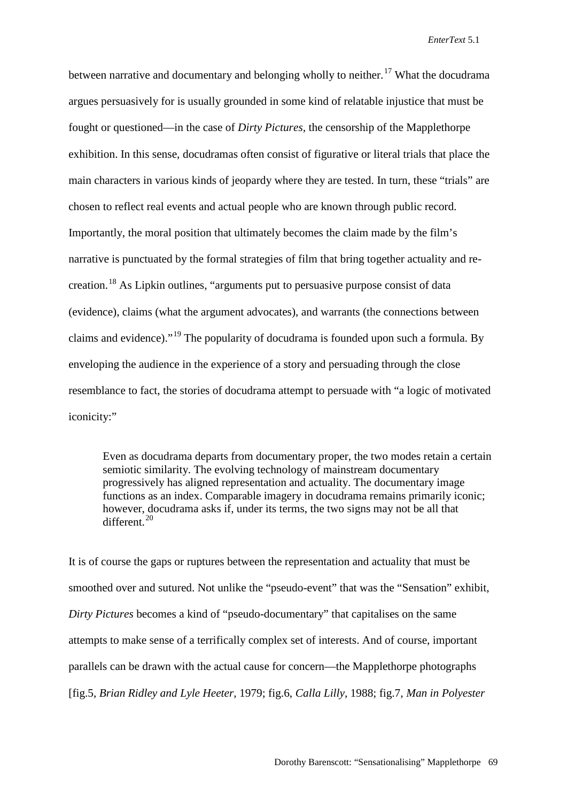between narrative and documentary and belonging wholly to neither.<sup>[17](#page-21-16)</sup> What the docudrama argues persuasively for is usually grounded in some kind of relatable injustice that must be fought or questioned—in the case of *Dirty Pictures,* the censorship of the Mapplethorpe exhibition. In this sense, docudramas often consist of figurative or literal trials that place the main characters in various kinds of jeopardy where they are tested. In turn, these "trials" are chosen to reflect real events and actual people who are known through public record. Importantly, the moral position that ultimately becomes the claim made by the film's narrative is punctuated by the formal strategies of film that bring together actuality and re-creation.<sup>[18](#page-21-17)</sup> As Lipkin outlines, "arguments put to persuasive purpose consist of data (evidence), claims (what the argument advocates), and warrants (the connections between claims and evidence)."[19](#page-21-18) The popularity of docudrama is founded upon such a formula. By enveloping the audience in the experience of a story and persuading through the close resemblance to fact, the stories of docudrama attempt to persuade with "a logic of motivated iconicity:"

Even as docudrama departs from documentary proper, the two modes retain a certain semiotic similarity. The evolving technology of mainstream documentary progressively has aligned representation and actuality. The documentary image functions as an index. Comparable imagery in docudrama remains primarily iconic; however, docudrama asks if, under its terms, the two signs may not be all that  $differential$ <sup>[20](#page-21-19)</sup>

It is of course the gaps or ruptures between the representation and actuality that must be smoothed over and sutured. Not unlike the "pseudo-event" that was the "Sensation" exhibit, *Dirty Pictures* becomes a kind of "pseudo-documentary" that capitalises on the same attempts to make sense of a terrifically complex set of interests. And of course, important parallels can be drawn with the actual cause for concern—the Mapplethorpe photographs [fig.5, *Brian Ridley and Lyle Heeter*, 1979; fig.6, *Calla Lilly*, 1988; fig.7, *Man in Polyester*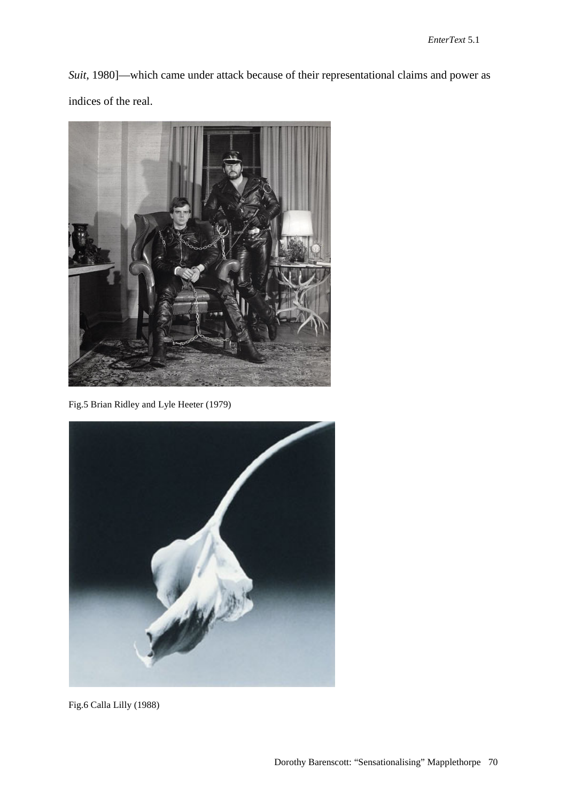*Suit*, 1980]—which came under attack because of their representational claims and power as indices of the real.



Fig.5 Brian Ridley and Lyle Heeter (1979)



Fig.6 Calla Lilly (1988)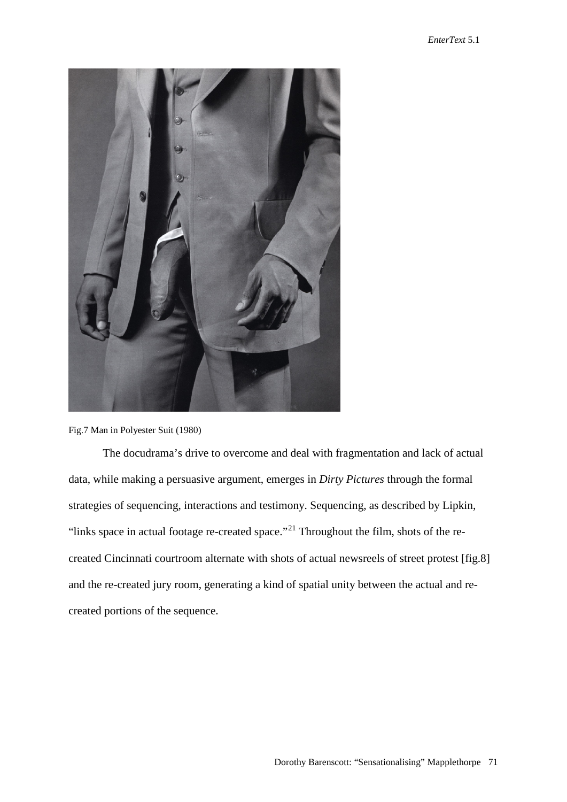

Fig.7 Man in Polyester Suit (1980)

The docudrama's drive to overcome and deal with fragmentation and lack of actual data, while making a persuasive argument, emerges in *Dirty Pictures* through the formal strategies of sequencing, interactions and testimony. Sequencing, as described by Lipkin, "links space in actual footage re-created space."<sup>[21](#page-21-20)</sup> Throughout the film, shots of the recreated Cincinnati courtroom alternate with shots of actual newsreels of street protest [fig.8] and the re-created jury room, generating a kind of spatial unity between the actual and recreated portions of the sequence.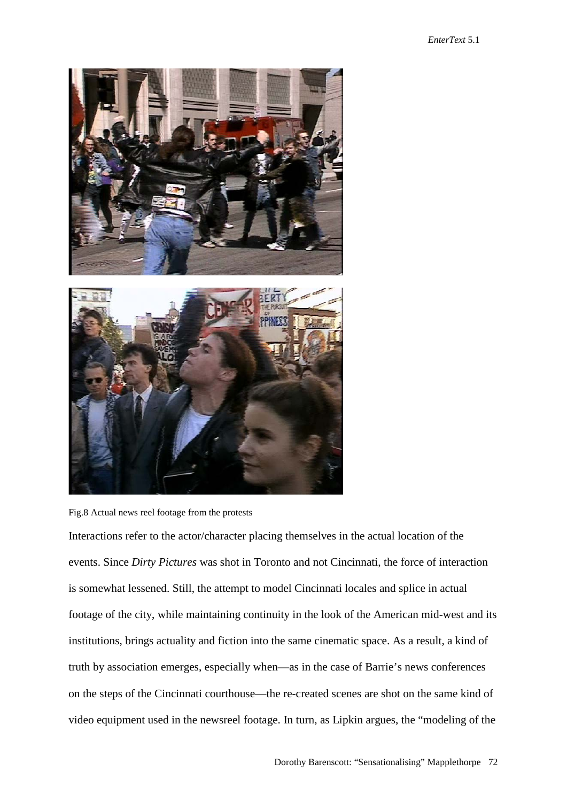

Fig.8 Actual news reel footage from the protests

Interactions refer to the actor/character placing themselves in the actual location of the events. Since *Dirty Pictures* was shot in Toronto and not Cincinnati, the force of interaction is somewhat lessened. Still, the attempt to model Cincinnati locales and splice in actual footage of the city, while maintaining continuity in the look of the American mid-west and its institutions, brings actuality and fiction into the same cinematic space. As a result, a kind of truth by association emerges, especially when—as in the case of Barrie's news conferences on the steps of the Cincinnati courthouse—the re-created scenes are shot on the same kind of video equipment used in the newsreel footage. In turn, as Lipkin argues, the "modeling of the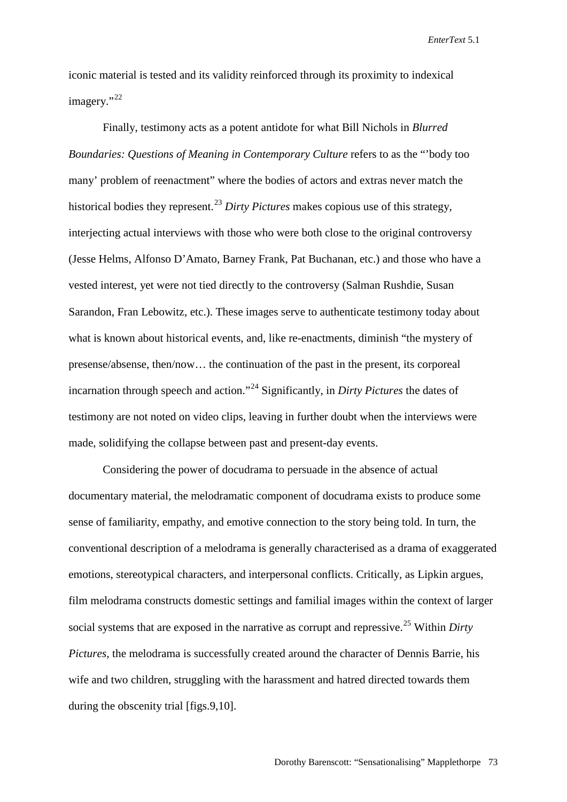iconic material is tested and its validity reinforced through its proximity to indexical imagery."<sup>[22](#page-21-21)</sup>

Finally, testimony acts as a potent antidote for what Bill Nichols in *Blurred Boundaries: Questions of Meaning in Contemporary Culture* refers to as the "'body too many' problem of reenactment" where the bodies of actors and extras never match the historical bodies they represent.[23](#page-21-22) *Dirty Pictures* makes copious use of this strategy, interjecting actual interviews with those who were both close to the original controversy (Jesse Helms, Alfonso D'Amato, Barney Frank, Pat Buchanan, etc.) and those who have a vested interest, yet were not tied directly to the controversy (Salman Rushdie, Susan Sarandon, Fran Lebowitz, etc.). These images serve to authenticate testimony today about what is known about historical events, and, like re-enactments, diminish "the mystery of presense/absense, then/now… the continuation of the past in the present, its corporeal incarnation through speech and action."[24](#page-21-23) Significantly, in *Dirty Pictures* the dates of testimony are not noted on video clips, leaving in further doubt when the interviews were made, solidifying the collapse between past and present-day events.

Considering the power of docudrama to persuade in the absence of actual documentary material, the melodramatic component of docudrama exists to produce some sense of familiarity, empathy, and emotive connection to the story being told. In turn, the conventional description of a melodrama is generally characterised as a drama of exaggerated emotions, stereotypical characters, and interpersonal conflicts. Critically, as Lipkin argues, film melodrama constructs domestic settings and familial images within the context of larger social systems that are exposed in the narrative as corrupt and repressive.<sup>[25](#page-21-24)</sup> Within *Dirty Pictures,* the melodrama is successfully created around the character of Dennis Barrie, his wife and two children, struggling with the harassment and hatred directed towards them during the obscenity trial [figs.9,10].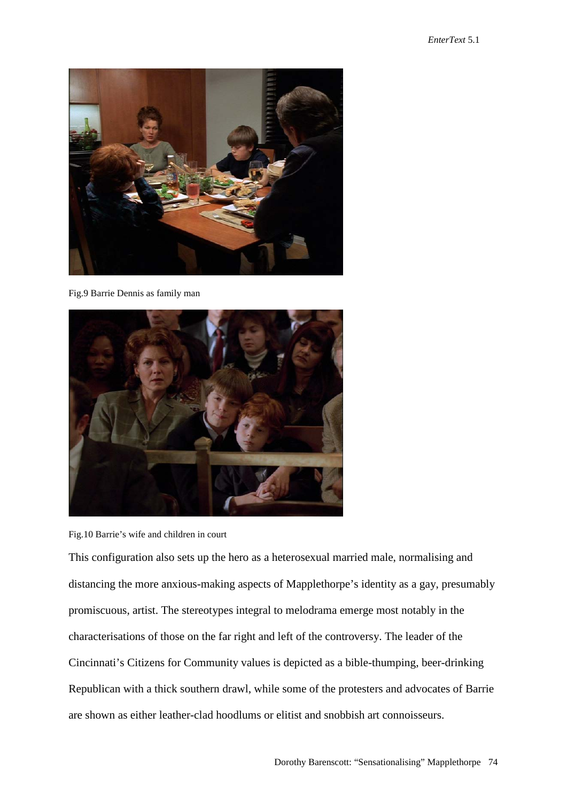

Fig.9 Barrie Dennis as family man





This configuration also sets up the hero as a heterosexual married male, normalising and distancing the more anxious-making aspects of Mapplethorpe's identity as a gay, presumably promiscuous, artist. The stereotypes integral to melodrama emerge most notably in the characterisations of those on the far right and left of the controversy. The leader of the Cincinnati's Citizens for Community values is depicted as a bible-thumping, beer-drinking Republican with a thick southern drawl, while some of the protesters and advocates of Barrie are shown as either leather-clad hoodlums or elitist and snobbish art connoisseurs.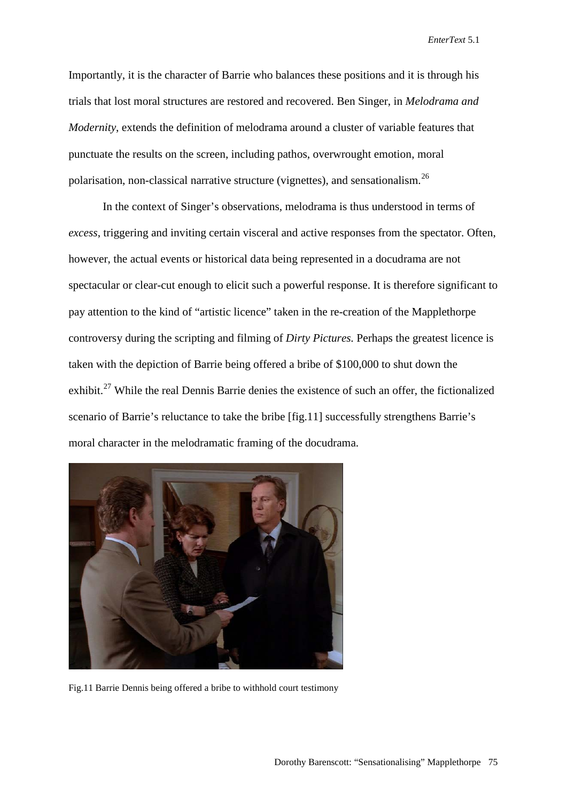Importantly, it is the character of Barrie who balances these positions and it is through his trials that lost moral structures are restored and recovered. Ben Singer, in *Melodrama and Modernity*, extends the definition of melodrama around a cluster of variable features that punctuate the results on the screen, including pathos, overwrought emotion, moral polarisation, non-classical narrative structure (vignettes), and sensationalism.[26](#page-21-25)

In the context of Singer's observations, melodrama is thus understood in terms of *excess*, triggering and inviting certain visceral and active responses from the spectator. Often, however, the actual events or historical data being represented in a docudrama are not spectacular or clear-cut enough to elicit such a powerful response. It is therefore significant to pay attention to the kind of "artistic licence" taken in the re-creation of the Mapplethorpe controversy during the scripting and filming of *Dirty Pictures.* Perhaps the greatest licence is taken with the depiction of Barrie being offered a bribe of \$100,000 to shut down the exhibit.<sup>[27](#page-21-26)</sup> While the real Dennis Barrie denies the existence of such an offer, the fictionalized scenario of Barrie's reluctance to take the bribe [fig.11] successfully strengthens Barrie's moral character in the melodramatic framing of the docudrama.



Fig.11 Barrie Dennis being offered a bribe to withhold court testimony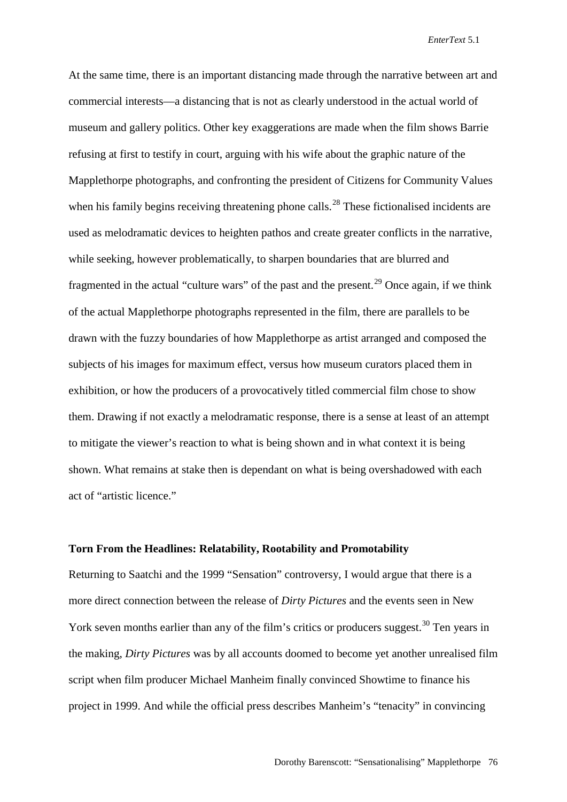At the same time, there is an important distancing made through the narrative between art and commercial interests—a distancing that is not as clearly understood in the actual world of museum and gallery politics. Other key exaggerations are made when the film shows Barrie refusing at first to testify in court, arguing with his wife about the graphic nature of the Mapplethorpe photographs, and confronting the president of Citizens for Community Values when his family begins receiving threatening phone calls.<sup>[28](#page-21-27)</sup> These fictionalised incidents are used as melodramatic devices to heighten pathos and create greater conflicts in the narrative, while seeking, however problematically, to sharpen boundaries that are blurred and fragmented in the actual "culture wars" of the past and the present.<sup>[29](#page-21-28)</sup> Once again, if we think of the actual Mapplethorpe photographs represented in the film, there are parallels to be drawn with the fuzzy boundaries of how Mapplethorpe as artist arranged and composed the subjects of his images for maximum effect, versus how museum curators placed them in exhibition, or how the producers of a provocatively titled commercial film chose to show them. Drawing if not exactly a melodramatic response, there is a sense at least of an attempt to mitigate the viewer's reaction to what is being shown and in what context it is being shown. What remains at stake then is dependant on what is being overshadowed with each act of "artistic licence."

### **Torn From the Headlines: Relatability, Rootability and Promotability**

Returning to Saatchi and the 1999 "Sensation" controversy, I would argue that there is a more direct connection between the release of *Dirty Pictures* and the events seen in New York seven months earlier than any of the film's critics or producers suggest.<sup>[30](#page-22-0)</sup> Ten years in the making, *Dirty Pictures* was by all accounts doomed to become yet another unrealised film script when film producer Michael Manheim finally convinced Showtime to finance his project in 1999. And while the official press describes Manheim's "tenacity" in convincing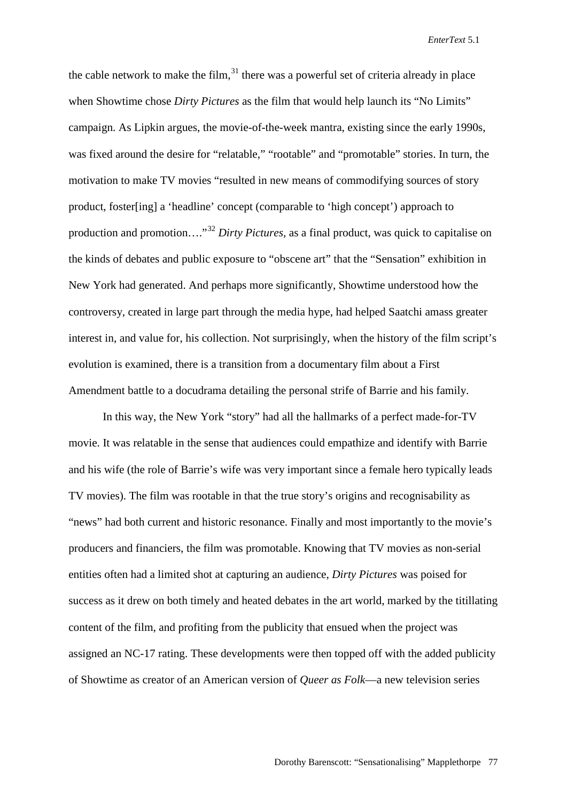the cable network to make the film, $31$  there was a powerful set of criteria already in place when Showtime chose *Dirty Pictures* as the film that would help launch its "No Limits" campaign. As Lipkin argues, the movie-of-the-week mantra, existing since the early 1990s, was fixed around the desire for "relatable," "rootable" and "promotable" stories. In turn, the motivation to make TV movies "resulted in new means of commodifying sources of story product, foster[ing] a 'headline' concept (comparable to 'high concept') approach to production and promotion…."[32](#page-22-2) *Dirty Pictures,* as a final product, was quick to capitalise on the kinds of debates and public exposure to "obscene art" that the "Sensation" exhibition in New York had generated. And perhaps more significantly, Showtime understood how the controversy, created in large part through the media hype, had helped Saatchi amass greater interest in, and value for, his collection. Not surprisingly, when the history of the film script's evolution is examined, there is a transition from a documentary film about a First Amendment battle to a docudrama detailing the personal strife of Barrie and his family.

In this way, the New York "story" had all the hallmarks of a perfect made-for-TV movie. It was relatable in the sense that audiences could empathize and identify with Barrie and his wife (the role of Barrie's wife was very important since a female hero typically leads TV movies). The film was rootable in that the true story's origins and recognisability as "news" had both current and historic resonance. Finally and most importantly to the movie's producers and financiers, the film was promotable. Knowing that TV movies as non-serial entities often had a limited shot at capturing an audience, *Dirty Pictures* was poised for success as it drew on both timely and heated debates in the art world, marked by the titillating content of the film, and profiting from the publicity that ensued when the project was assigned an NC-17 rating. These developments were then topped off with the added publicity of Showtime as creator of an American version of *Queer as Folk*—a new television series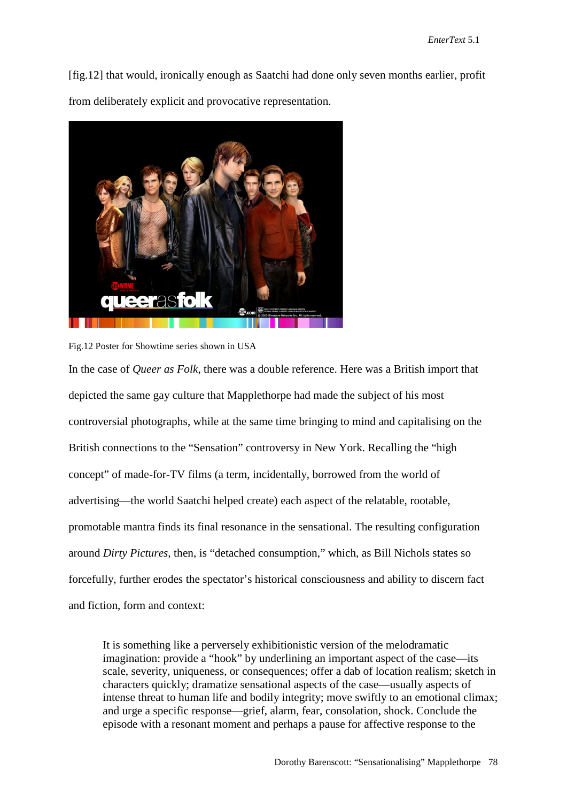[fig.12] that would, ironically enough as Saatchi had done only seven months earlier, profit from deliberately explicit and provocative representation.



Fig.12 Poster for Showtime series shown in USA

In the case of *Queer as Folk*, there was a double reference. Here was a British import that depicted the same gay culture that Mapplethorpe had made the subject of his most controversial photographs, while at the same time bringing to mind and capitalising on the British connections to the "Sensation" controversy in New York. Recalling the "high concept" of made-for-TV films (a term, incidentally, borrowed from the world of advertising—the world Saatchi helped create) each aspect of the relatable, rootable, promotable mantra finds its final resonance in the sensational. The resulting configuration around *Dirty Pictures,* then, is "detached consumption," which, as Bill Nichols states so forcefully, further erodes the spectator's historical consciousness and ability to discern fact and fiction, form and context:

It is something like a perversely exhibitionistic version of the melodramatic imagination: provide a "hook" by underlining an important aspect of the case—its scale, severity, uniqueness, or consequences; offer a dab of location realism; sketch in characters quickly; dramatize sensational aspects of the case—usually aspects of intense threat to human life and bodily integrity; move swiftly to an emotional climax; and urge a specific response—grief, alarm, fear, consolation, shock. Conclude the episode with a resonant moment and perhaps a pause for affective response to the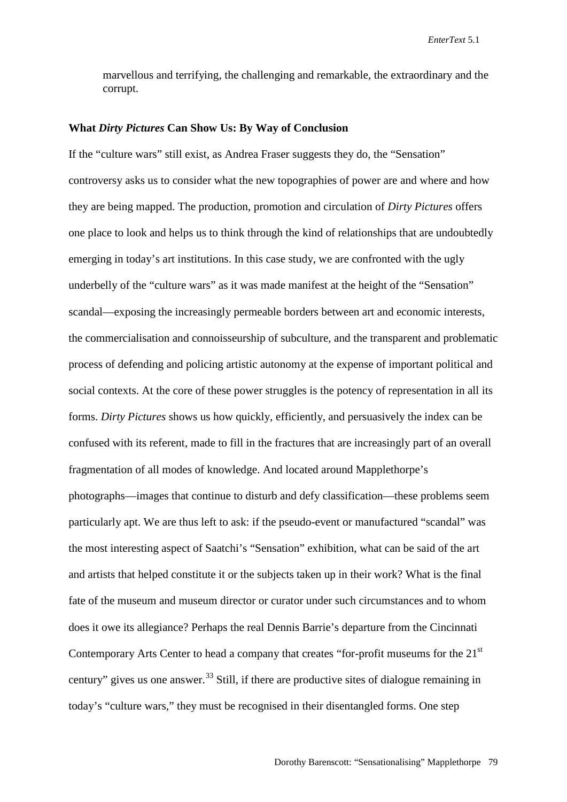marvellous and terrifying, the challenging and remarkable, the extraordinary and the corrupt.

#### **What** *Dirty Pictures* **Can Show Us: By Way of Conclusion**

If the "culture wars" still exist, as Andrea Fraser suggests they do, the "Sensation" controversy asks us to consider what the new topographies of power are and where and how they are being mapped. The production, promotion and circulation of *Dirty Pictures* offers one place to look and helps us to think through the kind of relationships that are undoubtedly emerging in today's art institutions. In this case study, we are confronted with the ugly underbelly of the "culture wars" as it was made manifest at the height of the "Sensation" scandal—exposing the increasingly permeable borders between art and economic interests, the commercialisation and connoisseurship of subculture, and the transparent and problematic process of defending and policing artistic autonomy at the expense of important political and social contexts. At the core of these power struggles is the potency of representation in all its forms. *Dirty Pictures* shows us how quickly, efficiently, and persuasively the index can be confused with its referent, made to fill in the fractures that are increasingly part of an overall fragmentation of all modes of knowledge. And located around Mapplethorpe's photographs—images that continue to disturb and defy classification—these problems seem particularly apt. We are thus left to ask: if the pseudo-event or manufactured "scandal" was the most interesting aspect of Saatchi's "Sensation" exhibition, what can be said of the art and artists that helped constitute it or the subjects taken up in their work? What is the final fate of the museum and museum director or curator under such circumstances and to whom does it owe its allegiance? Perhaps the real Dennis Barrie's departure from the Cincinnati Contemporary Arts Center to head a company that creates "for-profit museums for the 21<sup>st</sup> century" gives us one answer.<sup>[33](#page-22-3)</sup> Still, if there are productive sites of dialogue remaining in today's "culture wars," they must be recognised in their disentangled forms. One step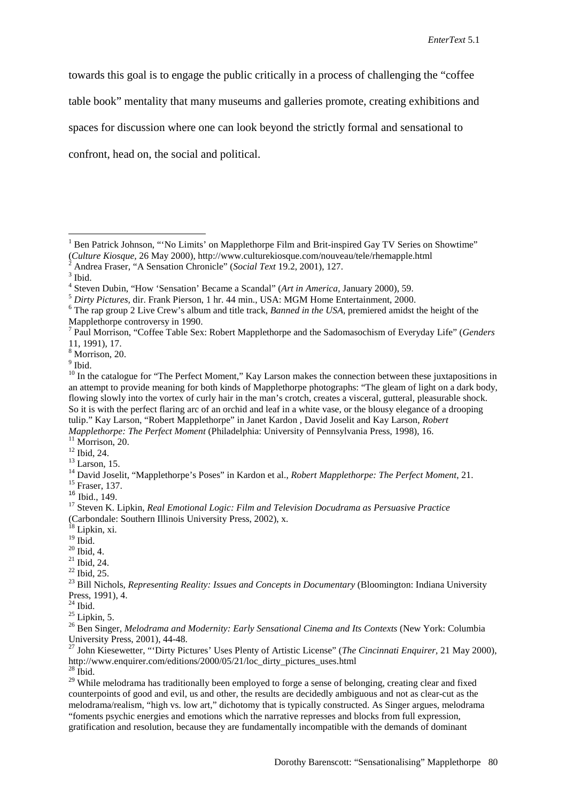towards this goal is to engage the public critically in a process of challenging the "coffee

table book" mentality that many museums and galleries promote, creating exhibitions and

spaces for discussion where one can look beyond the strictly formal and sensational to

confront, head on, the social and political.

<span id="page-21-1"></span>

<span id="page-21-27"></span> $^{28}$  Ibid.

<span id="page-21-28"></span><sup>29</sup> While melodrama has traditionally been employed to forge a sense of belonging, creating clear and fixed counterpoints of good and evil, us and other, the results are decidedly ambiguous and not as clear-cut as the melodrama/realism, "high vs. low art," dichotomy that is typically constructed. As Singer argues, melodrama "foments psychic energies and emotions which the narrative represses and blocks from full expression, gratification and resolution, because they are fundamentally incompatible with the demands of dominant

<span id="page-21-0"></span><sup>1</sup> Ben Patrick Johnson, "'No Limits' on Mapplethorpe Film and Brit-inspired Gay TV Series on Showtime" (*Culture Kiosque,* 26 May 2000),<http://www.culturekiosque.com/nouveau/tele/rhemapple.html> <sup>2</sup> Andrea Fraser, "A Sensation Chronicle" (*Social Text* 19.2, 2001), 127. <sup>3</sup> Ibid.

<span id="page-21-2"></span>

<span id="page-21-5"></span><span id="page-21-4"></span><span id="page-21-3"></span> $5$  Dirty Pictures, dir. Frank Pierson, 1 hr. 44 min., USA: MGM Home Entertainment, 2000.<br>  $6$  The rap group 2 Live Crew's album and title track, *Banned in the USA*, premiered amidst the height of the Mapplethorpe controversy in 1990.

<span id="page-21-6"></span><sup>7</sup> Paul Morrison, "Coffee Table Sex: Robert Mapplethorpe and the Sadomasochism of Everyday Life" (*Genders*  11, 1991), 17.

<span id="page-21-7"></span><sup>8</sup> Morrison, 20.

<span id="page-21-8"></span> $9$  Ibid.

<span id="page-21-9"></span><sup>&</sup>lt;sup>10</sup> In the catalogue for "The Perfect Moment," Kay Larson makes the connection between these juxtapositions in an attempt to provide meaning for both kinds of Mapplethorpe photographs: "The gleam of light on a dark body, flowing slowly into the vortex of curly hair in the man's crotch, creates a visceral, gutteral, pleasurable shock. So it is with the perfect flaring arc of an orchid and leaf in a white vase, or the blousy elegance of a drooping tulip." Kay Larson, "Robert Mapplethorpe" in Janet Kardon , David Joselit and Kay Larson, *Robert* 

<span id="page-21-13"></span><span id="page-21-12"></span>

<span id="page-21-11"></span><span id="page-21-10"></span><sup>&</sup>lt;sup>11</sup> Morrison, 20.<br><sup>12</sup> Ibid, 24.<br><sup>13</sup> Larson, 15.<br><sup>14</sup> David Joselit, "Mapplethorpe's Poses" in Kardon et al., *Robert Mapplethorpe: The Perfect Moment*, 21.<br><sup>15</sup> Fraser, 137.<br><sup>16</sup> Ibid.. 149.

<span id="page-21-16"></span><span id="page-21-15"></span><span id="page-21-14"></span><sup>16</sup> Ibid., 149. <sup>17</sup> Steven K. Lipkin, *Real Emotional Logic: Film and Television Docudrama as Persuasive Practice*  (Carbondale: Southern Illinois University Press, 2002), x. <sup>18</sup> Lipkin, xi.

<span id="page-21-17"></span>

<span id="page-21-20"></span>

<span id="page-21-22"></span><span id="page-21-21"></span>

<span id="page-21-19"></span><span id="page-21-18"></span><sup>19</sup> Ibid. <sup>20</sup> Ibid, 4. <sup>21</sup> Ibid, 24. <sup>22</sup> Ibid, 25. <sup>23</sup> Bill Nichols, *Representing Reality: Issues and Concepts in Documentary* (Bloomington: Indiana University Press, 1991),  $\frac{4}{24}$  Ibid.

<span id="page-21-25"></span><span id="page-21-24"></span><span id="page-21-23"></span><sup>&</sup>lt;sup>25</sup> Lipkin, 5.<br><sup>26</sup> Ben Singer, *Melodrama and Modernity: Early Sensational Cinema and Its Contexts (New York: Columbia)* University Press, 2001), 44-48. 27 John Kiesewetter, "'Dirty Pictures' Uses Plenty of Artistic License" (*The Cincinnati Enquirer,* 21 May 2000),

<span id="page-21-26"></span>[http://www.enquirer.com/editions/2000/05/21/loc\\_dirty\\_pictures\\_uses.html](http://www.enquirer.com/editions/2000/05/21/loc_dirty_pictures_uses.html)